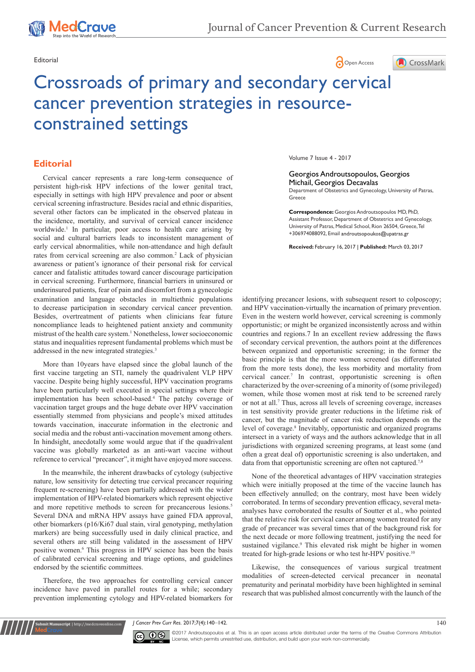

MedCrave

# Editorial **Community Community Community Community** Community Community Community Community Community Community Community Community Community Community Community Community Community Community Community Community Community



# Crossroads of primary and secondary cervical cancer prevention strategies in resourceconstrained settings

# **Editorial**

examination and language obstacles in multiethnic populations to decrease participation in secondary cervical cancer prevention. Besides, overtreatment of patients when clinicians fear future noncompliance leads to heightened patient anxiety and community mistrust of the health care system.<sup>1</sup> Nonetheless, lower socioeconomic status and inequalities represent fundamental problems which must be addressed in the new integrated strategies.3 Cervical cancer represents a rare long-term consequence of persistent high-risk HPV infections of the lower genital tract, especially in settings with high HPV prevalence and poor or absent cervical screening infrastructure. Besides racial and ethnic disparities, several other factors can be implicated in the observed plateau in the incidence, mortality, and survival of cervical cancer incidence worldwide.<sup>1</sup> In particular, poor access to health care arising by social and cultural barriers leads to inconsistent management of early cervical abnormalities, while non-attendance and high default rates from cervical screening are also common.<sup>2</sup> Lack of physician awareness or patient's ignorance of their personal risk for cervical cancer and fatalistic attitudes toward cancer discourage participation in cervical screening. Furthermore, financial barriers in uninsured or underinsured patients, fear of pain and discomfort from a gynecologic

More than 10years have elapsed since the global launch of the first vaccine targeting an STI, namely the quadrivalent VLP HPV vaccine. Despite being highly successful, HPV vaccination programs have been particularly well executed in special settings where their implementation has been school-based.<sup>4</sup> The patchy coverage of vaccination target groups and the huge debate over HPV vaccination essentially stemmed from physicians and people's mixed attitudes towards vaccination, inaccurate information in the electronic and social media and the robust anti-vaccination movement among others. In hindsight, anecdotally some would argue that if the quadrivalent vaccine was globally marketed as an anti-wart vaccine without reference to cervical "precancer", it might have enjoyed more success.

In the meanwhile, the inherent drawbacks of cytology (subjective nature, low sensitivity for detecting true cervical precancer requiring frequent re-screening) have been partially addressed with the wider implementation of HPV-related biomarkers which represent objective and more repetitive methods to screen for precancerous lesions.<sup>5</sup> Several DNA and mRNA HPV assays have gained FDA approval, other biomarkers (p16/Ki67 dual stain, viral genotyping, methylation markers) are being successfully used in daily clinical practice, and several others are still being validated in the assessment of HPV positive women.<sup>6</sup> This progress in HPV science has been the basis of calibrated cervical screening and triage options, and guidelines endorsed by the scientific committees.

Therefore, the two approaches for controlling cervical cancer incidence have paved in parallel routes for a while; secondary prevention implementing cytology and HPV-related biomarkers for

**it Manuscript** | http://medcraveonline.c

Volume 7 Issue 4 - 2017

#### Georgios Androutsopoulos, Georgios Michail, Georgios Decavalas

Department of Obstetrics and Gynecology, University of Patras, Greece

**Correspondence:** Georgios Androutsopoulos MD, PhD, Assistant Professor, Department of Obstetrics and Gynecology, University of Patras, Medical School, Rion 26504, Greece, Tel +306974088092, Email

**Received:** February 16, 2017 | **Published:** March 03, 2017

identifying precancer lesions, with subsequent resort to colposcopy; and HPV vaccination-virtually the incarnation of primary prevention. Even in the western world however, cervical screening is commonly opportunistic; or might be organized inconsistently across and within countries and regions.7 In an excellent review addressing the flaws of secondary cervical prevention, the authors point at the differences between organized and opportunistic screening; in the former the basic principle is that the more women screened (as differentiated from the more tests done), the less morbidity and mortality from cervical cancer.<sup>7</sup> In contrast, opportunistic screening is often characterized by the over-screening of a minority of (some privileged) women, while those women most at risk tend to be screened rarely or not at all.<sup>7</sup> Thus, across all levels of screening coverage, increases in test sensitivity provide greater reductions in the lifetime risk of cancer, but the magnitude of cancer risk reduction depends on the level of coverage.<sup>8</sup> Inevitably, opportunistic and organized programs intersect in a variety of ways and the authors acknowledge that in all jurisdictions with organized screening programs, at least some (and often a great deal of) opportunistic screening is also undertaken, and data from that opportunistic screening are often not captured.<sup>7,8</sup>

None of the theoretical advantages of HPV vaccination strategies which were initially proposed at the time of the vaccine launch has been effectively annulled; on the contrary, most have been widely corroborated. In terms of secondary prevention efficacy, several metaanalyses have corroborated the results of Soutter et al., who pointed that the relative risk for cervical cancer among women treated for any grade of precancer was several times that of the background risk for the next decade or more following treatment, justifying the need for sustained vigilance.<sup>9</sup> This elevated risk might be higher in women treated for high-grade lesions or who test hr-HPV positive.<sup>10</sup>

Likewise, the consequences of various surgical treatment modalities of screen-detected cervical precancer in neonatal prematurity and perinatal morbidity have been highlighted in seminal research that was published almost concurrently with the launch of the

*J Cancer Prev Curr Res.* 2017;7(4):140‒142. 140



©2017 Androutsopoulos et al. This is an open access article distributed under the terms of the Creative Commons Attribution License, which permits unrestrited use, distribution, and build upon your work non-commercially.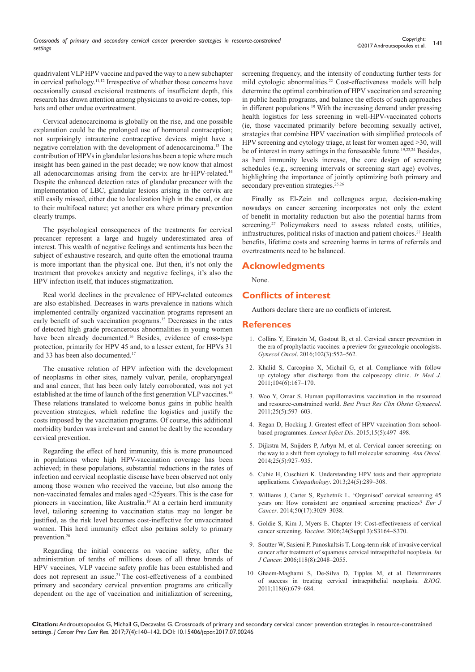quadrivalent VLP HPV vaccine and paved the way to a new subchapter in cervical pathology.11,12 Irrespective of whether those concerns have occasionally caused excisional treatments of insufficient depth, this research has drawn attention among physicians to avoid re-cones, tophats and other undue overtreatment.

Cervical adenocarcinoma is globally on the rise, and one possible explanation could be the prolonged use of hormonal contraception; not surprisingly intrauterine contraceptive devices might have a negative correlation with the development of adenocarcinoma.13 The contribution of HPVs in glandular lesions has been a topic where much insight has been gained in the past decade; we now know that almost all adenocarcinomas arising from the cervix are hr-HPV-related.<sup>14</sup> Despite the enhanced detection rates of glandular precancer with the implementation of LBC, glandular lesions arising in the cervix are still easily missed, either due to localization high in the canal, or due to their multifocal nature; yet another era where primary prevention clearly trumps.

The psychological consequences of the treatments for cervical precancer represent a large and hugely underestimated area of interest. This wealth of negative feelings and sentiments has been the subject of exhaustive research, and quite often the emotional trauma is more important than the physical one. But then, it's not only the treatment that provokes anxiety and negative feelings, it's also the HPV infection itself, that induces stigmatization.

Real world declines in the prevalence of HPV-related outcomes are also established. Decreases in warts prevalence in nations which implemented centrally organized vaccination programs represent an early benefit of such vaccination programs.15 Decreases in the rates of detected high grade precancerous abnormalities in young women have been already documented.<sup>16</sup> Besides, evidence of cross-type protection, primarily for HPV 45 and, to a lesser extent, for HPVs 31 and 33 has been also documented.<sup>17</sup>

The causative relation of HPV infection with the development of neoplasms in other sites, namely vulvar, penile, oropharyngeal and anal cancer, that has been only lately corroborated, was not yet established at the time of launch of the first generation VLP vaccines.<sup>18</sup> These relations translated to welcome bonus gains in public health prevention strategies, which redefine the logistics and justify the costs imposed by the vaccination programs. Of course, this additional morbidity burden was irrelevant and cannot be dealt by the secondary cervical prevention.

Regarding the effect of herd immunity, this is more pronounced in populations where high HPV-vaccination coverage has been achieved; in these populations, substantial reductions in the rates of infection and cervical neoplastic disease have been observed not only among those women who received the vaccine, but also among the non-vaccinated females and males aged <25years. This is the case for pioneers in vaccination, like Australia.<sup>19</sup> At a certain herd immunity level, tailoring screening to vaccination status may no longer be justified, as the risk level becomes cost-ineffective for unvaccinated women. This herd immunity effect also pertains solely to primary prevention.20

Regarding the initial concerns on vaccine safety, after the administration of tenths of millions doses of all three brands of HPV vaccines, VLP vaccine safety profile has been established and does not represent an issue.21 The cost-effectiveness of a combined primary and secondary cervical prevention programs are critically dependent on the age of vaccination and initialization of screening, screening frequency, and the intensity of conducting further tests for mild cytologic abnormalities.<sup>22</sup> Cost-effectiveness models will help determine the optimal combination of HPV vaccination and screening in public health programs, and balance the effects of such approaches in different populations.<sup>19</sup> With the increasing demand under pressing health logistics for less screening in well-HPV-vaccinated cohorts (ie, those vaccinated primarily before becoming sexually active), strategies that combine HPV vaccination with simplified protocols of HPV screening and cytology triage, at least for women aged >30, will be of interest in many settings in the foreseeable future.<sup>19,23,24</sup> Besides, as herd immunity levels increase, the core design of screening schedules (e.g., screening intervals or screening start age) evolves, highlighting the importance of jointly optimizing both primary and secondary prevention strategies.<sup>25,26</sup>

Finally as El-Zein and colleagues argue, decision-making nowadays on cancer screening incorporates not only the extent of benefit in mortality reduction but also the potential harms from screening.<sup>27</sup> Policymakers need to assess related costs, utilities, infrastructures, political risks of inaction and patient choices.27 Health benefits, lifetime costs and screening harms in terms of referrals and overtreatments need to be balanced.

# **Acknowledgments**

None.

## **Conflicts of interest**

Authors declare there are no conflicts of interest.

## **References**

- 1. [Collins Y, Einstein M, Gostout B, et al. Cervical cancer prevention in](https://www.ncbi.nlm.nih.gov/pubmed/16979432)  [the era of prophylactic vaccines: a preview for gynecologic oncologists.](https://www.ncbi.nlm.nih.gov/pubmed/16979432)  *Gynecol Oncol*[. 2016;102\(3\):552‒562.](https://www.ncbi.nlm.nih.gov/pubmed/16979432)
- 2. [Khalid S, Carcopino X, Michail G, et al. Compliance with follow](https://www.ncbi.nlm.nih.gov/pubmed/22111391)  [up cytology after discharge from the colposcopy clinic.](https://www.ncbi.nlm.nih.gov/pubmed/22111391) *Ir Med J.*  [2011;104\(6\):167‒170.](https://www.ncbi.nlm.nih.gov/pubmed/22111391)
- 3. [Woo Y, Omar S. Human papillomavirus vaccination in the resourced](https://www.ncbi.nlm.nih.gov/pubmed/23777956/)  and resource-constrained world. *[Best Pract Res Clin Obstet Gynaecol](https://www.ncbi.nlm.nih.gov/pubmed/23777956/)*. [2011;25\(5\):597‒603.](https://www.ncbi.nlm.nih.gov/pubmed/23777956/)
- 4. [Regan D, Hocking J. Greatest effect of HPV vaccination from school](https://www.ncbi.nlm.nih.gov/pubmed/25744473)based programmes. *Lancet Infect Dis.* 2015;15(5):497-498.
- 5. [Dijkstra M, Snijders P, Arbyn M, et al. Cervical cancer screening: on](https://academic.oup.com/annonc/article/25/5/927/156208/Cervical-cancer-screening-on-the-way-to-a-shift?cited-by=yesrmdt538v1)  [the way to a shift from cytology to full molecular screening.](https://academic.oup.com/annonc/article/25/5/927/156208/Cervical-cancer-screening-on-the-way-to-a-shift?cited-by=yesrmdt538v1) *Ann Oncol.*  [2014;25\(5\):927‒935.](https://academic.oup.com/annonc/article/25/5/927/156208/Cervical-cancer-screening-on-the-way-to-a-shift?cited-by=yesrmdt538v1)
- 6. [Cubie H, Cuschieri K. Understanding HPV tests and their appropriate](https://www.ncbi.nlm.nih.gov/pubmed/23998275)  applications. *Cytopathology*[. 2013;24\(5\):289‒308.](https://www.ncbi.nlm.nih.gov/pubmed/23998275)
- 7. [Williams J, Carter S, Rychetnik L. 'Organised' cervical screening 45](http://www.sciencedirect.com/science/article/pii/S095980491400940X)  [years on: How consistent are organised screening practices?](http://www.sciencedirect.com/science/article/pii/S095980491400940X) *Eur J Cancer*[. 2014;50\(17\):3029‒3038.](http://www.sciencedirect.com/science/article/pii/S095980491400940X)
- 8. [Goldie S, Kim J, Myers E. Chapter 19: Cost-effectiveness of cervical](https://www.ncbi.nlm.nih.gov/pubmed/16950004)  cancer screening. *Vaccine*[. 2006;24\(Suppl 3\):S3164‒S370.](https://www.ncbi.nlm.nih.gov/pubmed/16950004)
- 9. [Soutter W, Sasieni P, Panoskaltsis T. Long-term risk of invasive cervical](https://www.ncbi.nlm.nih.gov/pubmed/16284947)  [cancer after treatment of squamous cervical intraepithelial neoplasia.](https://www.ncbi.nlm.nih.gov/pubmed/16284947) *Int J Cancer.* [2006;118\(8\):2048‒2055.](https://www.ncbi.nlm.nih.gov/pubmed/16284947)
- 10. [Ghaem-Maghami S, De-Silva D, Tipples M, et al. Determinants](https://www.ncbi.nlm.nih.gov/pubmed/21083861)  [of success in treating cervical intraepithelial neoplasia.](https://www.ncbi.nlm.nih.gov/pubmed/21083861) *BJOG.*  [2011;118\(6\):679‒684.](https://www.ncbi.nlm.nih.gov/pubmed/21083861)